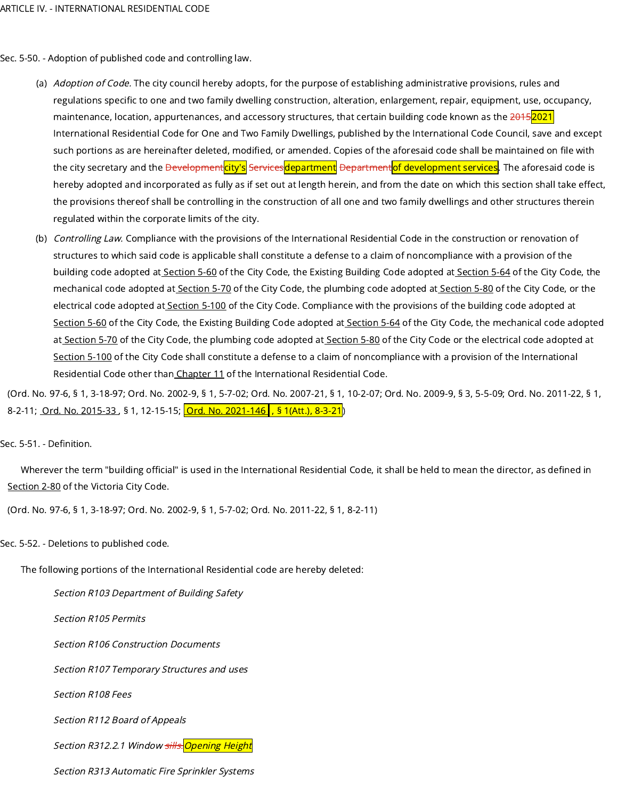Sec. 5-50. - Adoption of published code and controlling law.

- (a) *Adoption of Code.* The city council hereby adopts, for the purpose of establishing administrative provisions, rules and regulations specific to one and two family dwelling construction, alteration, enlargement, repair, equipment, use, occupancy, maintenance, location, appurtenances, and accessory structures, that certain building code known as the 2015<sup>2021</sup> International Residential Code for One and Two Family Dwellings, published by the International Code Council, save and except such portions as are hereinafter deleted, modified, or amended. Copies of the aforesaid code shall be maintained on file with the city secretary and the <del>Development<mark>city's</mark> Services<mark>department</mark> Department<mark>of development services</mark>. The aforesaid code is</del> hereby adopted and incorporated as fully as if set out at length herein, and from the date on which this section shall take effect, the provisions thereof shall be controlling in the construction of all one and two family dwellings and other structures therein regulated within the corporate limits of the city.
- (b) *Controlling Law.* Compliance with the provisions of the International Residential Code in the construction or renovation of structures to which said code is applicable shall constitute a defense to a claim of noncompliance with a provision of the building code adopted at [Section](https://library.municode.com/) 5-60 of the City Code, the Existing Building Code adopted at Section 5-64 of the City Code, the mechanical code adopted at [Section](https://library.municode.com/) 5-70 of the City Code, the plumbing code adopted at Section 5-80 of the City Code, or the electrical code adopted at [Section](https://library.municode.com/) 5-100 of the City Code. Compliance with the provisions of the building code adopted at [Section](https://library.municode.com/) 5-60 of the City Code, the Existing Building Code adopted at Section 5-64 of the City Code, the mechanical code adopted at [Section](https://library.municode.com/) 5-70 of the City Code, the plumbing code adopted at Section 5-80 of the City Code or the electrical code adopted at [Section](https://library.municode.com/) 5-100 of the City Code shall constitute a defense to a claim of noncompliance with a provision of the International Residential Code other than [Chapter](https://library.municode.com/) 11 of the International Residential Code.

(Ord. No. 97-6, § 1, 3-18-97; Ord. No. 2002-9, § 1, 5-7-02; Ord. No. 2007-21, § 1, 10-2-07; Ord. No. 2009-9, § 3, 5-5-09; Ord. No. 2011-22, § 1, 8-2-11; <u>[Ord.](https://library.municode.com/) No. [2015-33](https://library.municode.com/) ,</u> § 1, 12-15-15; <mark>Ord. No. [2021-146](https://library.municode.com/)</mark>, § 1(Att.), 8-3-21)

Sec. 5-51. - Definition.

Wherever the term "building official" is used in the International Residential Code, it shall be held to mean the director, as defined in [Section](https://library.municode.com/) 2-80 of the Victoria City Code.

(Ord. No. 97-6, § 1, 3-18-97; Ord. No. 2002-9, § 1, 5-7-02; Ord. No. 2011-22, § 1, 8-2-11)

Sec. 5-52. - Deletions to published code.

The following portions of the International Residential code are hereby deleted:

Section R103 Department of Building Safety

Section R105 Permits

Section R106 Construction Documents

Section R107 Temporary Structures and uses

Section R108 Fees

Section R112 Board of Appeals

Section R312.2.1 Window <del>sills.<mark>Opening Height</mark></del>

Section R313 Automatic Fire Sprinkler Systems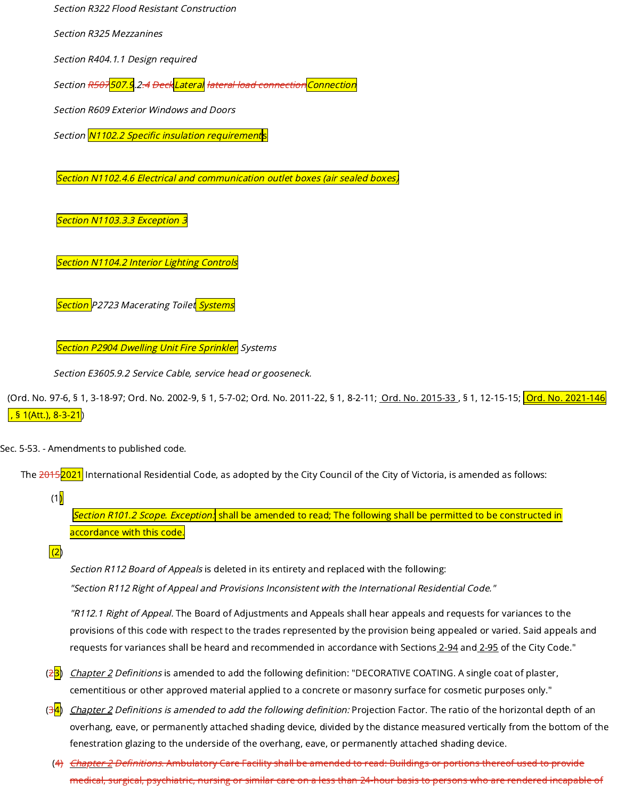Section R322 Flood Resistant Construction

Section R325 Mezzanines

Section R404.1.1 Design required

Section <del>R507<mark>507.9</mark>.2.4 Deck<mark>Lateral</mark> lateral load connection</mark>Connection</del>

Section R609 Exterior Windows and Doors

Section *N1102.2 Specific insulation requirement*s

Section N1102.4.6 Electrical and communication outlet boxes (air sealed boxes,

Section N1103.3.3 Exception 3

Section N1104.2 Interior Lighting Controls

Section P2723 Macerating Toilet<mark> Systems</mark>

**Section P2904 Dwelling Unit Fire Sprinkler** Systems

Section E3605.9.2 Service Cable, service head or gooseneck.

([Ord.](https://library.municode.com/) No. 97-6, § 1, 3-18-97; Ord. No. 2002-9, § 1, 5-7-02; Ord. No. 2011-22, § 1, 8-2-11; <u>\_Ord. No. [2015-33](https://library.municode.com/) ,</u> § 1, 12-15-15; <mark>\_Ord. No. [2021-146](https://library.municode.com/)</mark> , § 1(Att.), 8-3-21)

Sec. 5-53. - Amendments to published code.

The 2015<mark>2021</mark> International Residential Code, as adopted by the City Council of the City of Victoria, is amended as follows:

 $(1)$ 

Section R101.2 Scope. Exception: shall be amended to read; The following shall be permitted to be constructed in accordance with this code.

 $\vert$ (2)

Section R112 Board of Appeals is deleted in its entirety and replaced with the following:

"Section R112 Right of Appeal and Provisions Inconsistent with the International Residential Code."

"R112.1 Right of Appeal. The Board of Adjustments and Appeals shall hear appeals and requests for variances to the provisions of this code with respect to the trades represented by the provision being appealed or varied. Said appeals and requests for variances shall be heard and recommended in accordance with Sections [2-94](https://library.municode.com/) and [2-95](https://library.municode.com/) of the City Code."

- (<del>2<mark>3</mark>) <u>[Chapter](https://library.municode.com/) 2</u> Definitions is amended to add the following definition: "DECORATIVE COATING. A single coat of plaster,</del> cementitious or other approved material applied to a concrete or masonry surface for cosmetic purposes only."
- (34) [Chapter](https://library.municode.com/) 2 Definitions is amended to add the following definition: Projection Factor. The ratio of the horizontal depth of an overhang, eave, or permanently attached shading device, divided by the distance measured vertically from the bottom of the fenestration glazing to the underside of the overhang, eave, or permanently attached shading device.
- (4) [Chapter](https://library.municode.com/) 2 Definitions. Ambulatory Care Facility shall be amended to read: Buildings or portions thereof used to provide medical, surgical, psychiatric, nursing or similar care on a less than 24-hour basis to persons who are rendered incapable of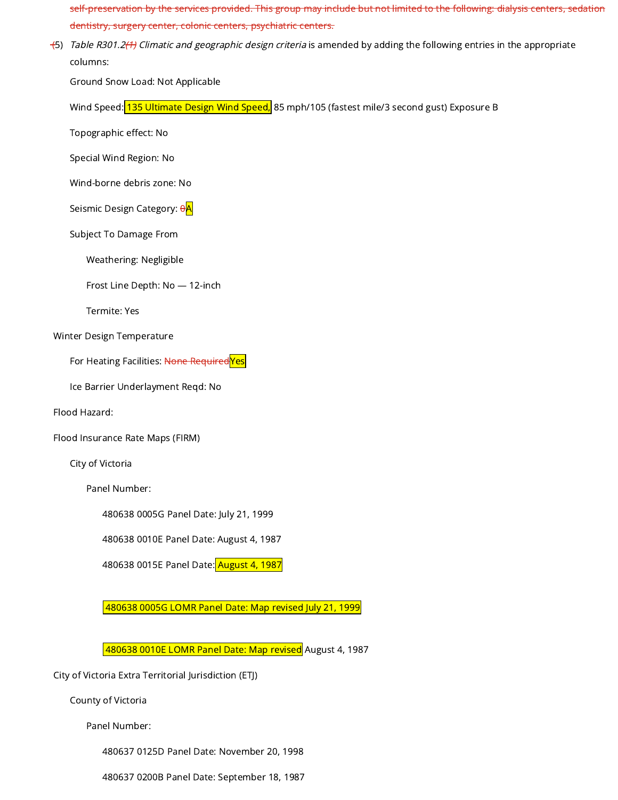self-preservation by the services provided. This group may include but not limited to the following: dialysis centers, sedation dentistry, surgery center, colonic centers, psychiatric centers.

<del>(</del>5) *Table R301.2<del>(1)</del> Climatic and geographic design criteria* is amended by adding the following entries in the appropriate columns:

Ground Snow Load: Not Applicable

Wind Speed: 135 Ultimate Design Wind Speed, 85 mph/105 (fastest mile/3 second gust) Exposure B

Topographic effect: No

Special Wind Region: No

Wind-borne debris zone: No

Seismic Design Category:  $\theta$ A

Subject To Damage From

Weathering: Negligible

Frost Line Depth: No — 12-inch

Termite: Yes

Winter Design Temperature

For Heating Facilities: None RequiredYes

Ice Barrier Underlayment Reqd: No

Flood Hazard:

Flood Insurance Rate Maps (FIRM)

City of Victoria

Panel Number:

480638 0005G Panel Date: July 21, 1999

480638 0010E Panel Date: August 4, 1987

480638 0015E Panel Date: August 4, 1987

480638 0005G LOMR Panel Date: Map revised July 21, 1999

480638 0010E LOMR Panel Date: Map revised August 4, 1987

City of Victoria Extra Territorial Jurisdiction (ETJ)

County of Victoria

Panel Number:

480637 0125D Panel Date: November 20, 1998

480637 0200B Panel Date: September 18, 1987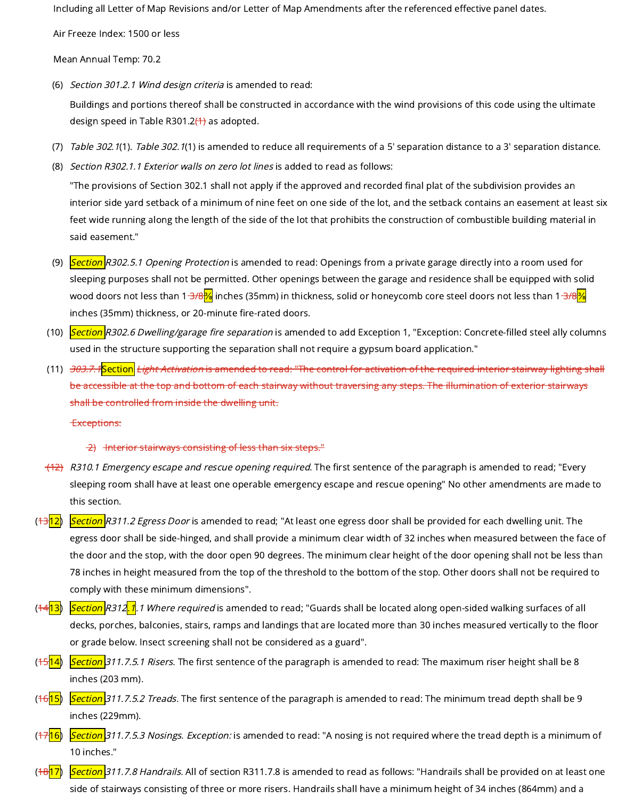Including all Letter of Map Revisions and/or Letter of Map Amendments after the referenced effective panel dates.

Air Freeze Index: 1500 or less

Mean Annual Temp: 70.2

(6) Section 301.2.1 Wind design criteria is amended to read:

Buildings and portions thereof shall be constructed in accordance with the wind provisions of this code using the ultimate design speed in Table R301.2 $(1)$  as adopted.

- (7) *Table 302.1*(1). *Table 302.1*(1) is amended to reduce all requirements of a 5' separation distance to a 3' separation distance.
- (8) Section R302.1.1 Exterior walls on zero lot lines is added to read as follows:

"The provisions of Section 302.1 shall not apply if the approved and recorded final plat of the subdivision provides an interior side yard setback of a minimum of nine feet on one side of the lot, and the setback contains an easement at least six feet wide running along the length of the side of the lot that prohibits the construction of combustible building material in said easement."

- (9) <mark>Section</mark> R302.5.1 Opening Protection is amended to read: Openings from a private garage directly into a room used for sleeping purposes shall not be permitted. Other openings between the garage and residence shall be equipped with solid wood doors not less than 1<del> 3/8<mark>¾</mark></del> inches (35mm) in thickness, solid or honeycomb core steel doors not less than 1 <del>3/8<mark>¾</mark></del> inches (35mm) thickness, or 20-minute fire-rated doors.
- (10) <mark>Section</mark> R302.6 Dwelling/garage fire separation is amended to add Exception 1, "Exception: Concrete-filled steel ally columns used in the structure supporting the separation shall not require a gypsum board application."
- (11) *3<del>03.7.1*</del>Section<mark>l *Light Activation* is amended to read: "The control for activation of the required interior stairway lighting shall</del></mark> be accessible at the top and bottom of each stairway without traversing any steps. The illumination of exterior stairways shall be controlled from inside the dwelling unit.

Exceptions:

#### 2) Interior stairways consisting of less than six steps."

- <del>(12)</del> *R310.1 Emergency escape and rescue opening required.* The first sentence of the paragraph is amended to read; "Every sleeping room shall have at least one operable emergency escape and rescue opening" No other amendments are made to this section.
- $(13|12)$ Section R311.2 Egress Door is amended to read; "At least one egress door shall be provided for each dwelling unit. The egress door shall be side-hinged, and shall provide a minimum clear width of 32 inches when measured between the face of the door and the stop, with the door open 90 degrees. The minimum clear height of the door opening shall not be less than 78 inches in height measured from the top of the threshold to the bottom of the stop. Other doors shall not be required to comply with these minimum dimensions".
- $(1413)$ Section R312.1.1 Where required is amended to read; "Guards shall be located along open-sided walking surfaces of all decks, porches, balconies, stairs, ramps and landings that are located more than 30 inches measured vertically to the floor or grade below. Insect screening shall not be considered as a guard".
- $(1514)$ Section 311.7.5.1 Risers. The first sentence of the paragraph is amended to read: The maximum riser height shall be 8 inches (203 mm).
- $(1615)$ Section 311.7.5.2 Treads. The first sentence of the paragraph is amended to read: The minimum tread depth shall be 9 inches (229mm).
- (<del>17</del>16) Section 311.7.5.3 Nosings. Exception: is amended to read: "A nosing is not required where the tread depth is a minimum of 10 inches."
- $(1817)$ Section 311.7.8 Handrails. All of section R311.7.8 is amended to read as follows: "Handrails shall be provided on at least one side of stairways consisting of three or more risers. Handrails shall have a minimum height of 34 inches (864mm) and a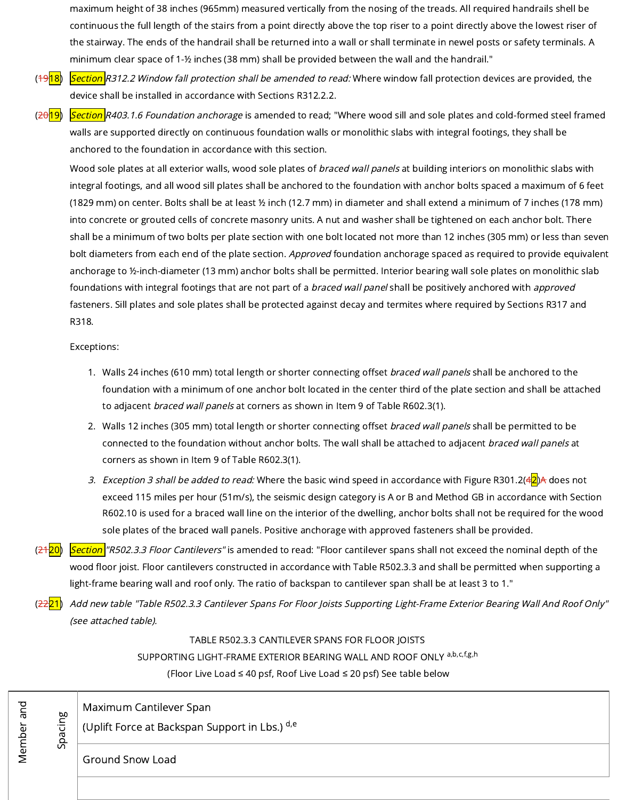maximum height of 38 inches (965mm) measured vertically from the nosing of the treads. All required handrails shell be continuous the full length of the stairs from a point directly above the top riser to a point directly above the lowest riser of the stairway. The ends of the handrail shall be returned into a wall or shall terminate in newel posts or safety terminals. A minimum clear space of 1-½ inches (38 mm) shall be provided between the wall and the handrail."

- $(19|18)$ Section R312.2 Window fall protection shall be amended to read: Where window fall protection devices are provided, the device shall be installed in accordance with Sections R312.2.2.
- (<del>20</del>19) Section R403.1.6 Foundation anchorage is amended to read; "Where wood sill and sole plates and cold-formed steel framed walls are supported directly on continuous foundation walls or monolithic slabs with integral footings, they shall be anchored to the foundation in accordance with this section.

Wood sole plates at all exterior walls, wood sole plates of *braced wall panels* at building interiors on monolithic slabs with integral footings, and all wood sill plates shall be anchored to the foundation with anchor bolts spaced a maximum of 6 feet (1829 mm) on center. Bolts shall be at least ½ inch (12.7 mm) in diameter and shall extend a minimum of 7 inches (178 mm) into concrete or grouted cells of concrete masonry units. A nut and washer shall be tightened on each anchor bolt. There shall be a minimum of two bolts per plate section with one bolt located not more than 12 inches (305 mm) or less than seven bolt diameters from each end of the plate section. Approved foundation anchorage spaced as required to provide equivalent anchorage to ½-inch-diameter (13 mm) anchor bolts shall be permitted. Interior bearing wall sole plates on monolithic slab foundations with integral footings that are not part of a *braced wall panel* shall be positively anchored with approved fasteners. Sill plates and sole plates shall be protected against decay and termites where required by Sections R317 and R318.

## Exceptions:

- 1. Walls 24 inches (610 mm) total length or shorter connecting offset *braced wall panels* shall be anchored to the foundation with a minimum of one anchor bolt located in the center third of the plate section and shall be attached to adjacent braced wall panels at corners as shown in Item 9 of Table R602.3(1).
- 2. Walls 12 inches (305 mm) total length or shorter connecting offset *braced wall panels* shall be permitted to be connected to the foundation without anchor bolts. The wall shall be attached to adjacent braced wall panels at corners as shown in Item 9 of Table R602.3(1).
- *3. Exception 3 shall be added to read:* Where the basic wind speed in accordance with Figure R301.2(<del>4</del>2)<del>A</del> does not exceed 115 miles per hour (51m/s), the seismic design category is A or B and Method GB in accordance with Section R602.10 is used for a braced wall line on the interior of the dwelling, anchor bolts shall not be required for the wood sole plates of the braced wall panels. Positive anchorage with approved fasteners shall be provided.

 $(2120)$ Section "R502.3.3 Floor Cantilevers" is amended to read: "Floor cantilever spans shall not exceed the nominal depth of the wood floor joist. Floor cantilevers constructed in accordance with Table R502.3.3 and shall be permitted when supporting a light-frame bearing wall and roof only. The ratio of backspan to cantilever span shall be at least 3 to 1."

(<del>22</del>21) Add new table "Table R502.3.3 Cantilever Spans For Floor Joists Supporting Light-Frame Exterior Bearing Wall And Roof Only" (see attached table).

### TABLE R502.3.3 CANTILEVER SPANS FOR FLOOR JOISTS

SUPPORTING LIGHT-FRAME EXTERIOR BEARING WALL AND ROOF ONLY <sup>a,b,c,f,g,h</sup>

(Floor Live Load ≤ 40 psf, Roof Live Load ≤ 20 psf) See table below

Maximum Cantilever Span Spacin g

(Uplift Force at Backspan Support in Lbs.) <sup>d,e</sup>

Ground Snow Load

Member an d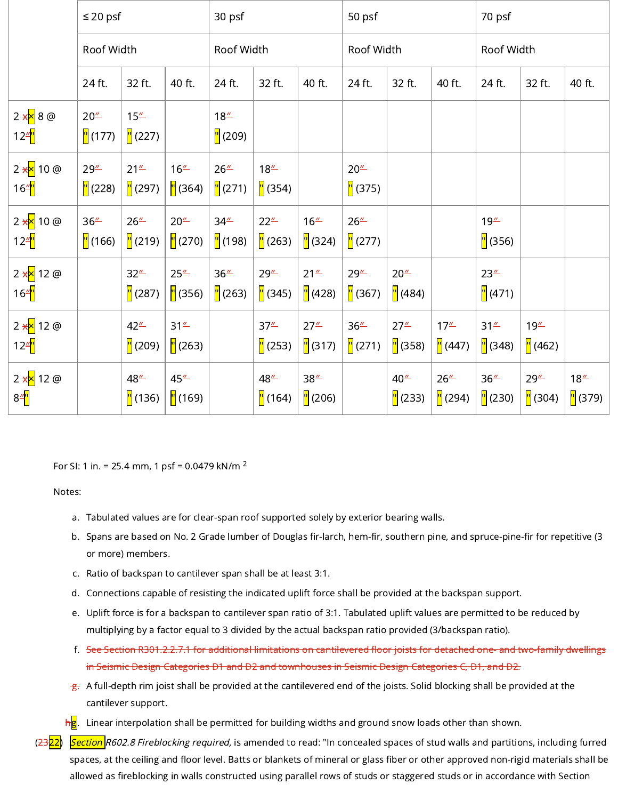|                                                    | $\leq 20$ psf<br>Roof Width                 |                                           | 30 psf                                    |                                           | 50 psf                                    |                                             |                                           | 70 psf                                      |                                           |                                           |                                           |                                           |
|----------------------------------------------------|---------------------------------------------|-------------------------------------------|-------------------------------------------|-------------------------------------------|-------------------------------------------|---------------------------------------------|-------------------------------------------|---------------------------------------------|-------------------------------------------|-------------------------------------------|-------------------------------------------|-------------------------------------------|
|                                                    |                                             |                                           | Roof Width                                |                                           | Roof Width                                |                                             |                                           | Roof Width                                  |                                           |                                           |                                           |                                           |
|                                                    | 24 ft.                                      | 32 ft.                                    | 40 ft.                                    | 24 ft.                                    | 32 ft.                                    | 40 ft.                                      | 24 ft.                                    | 32 ft.                                      | 40 ft.                                    | 24 ft.                                    | 32 ft.                                    | 40 ft.                                    |
| $2 \times 8$ 8 @<br>$12^{\frac{\pi}{2}}$           | $20 -$<br>$\frac{1}{2}$ (177)               | 15 <sup>′′</sup><br>$\frac{1}{2}$ (227)   |                                           | 18 <sup>μ</sup><br>$\frac{1}{2}$ (209)    |                                           |                                             |                                           |                                             |                                           |                                           |                                           |                                           |
| 2 x <mark>x</mark> 10 @<br>16 <sup>4</sup>         | $29^{\frac{\mu}{2}}$<br>$\frac{1}{2}$ (228) | $21 -$<br>$\frac{1}{2}$ (297)             | 16 <sup>μ</sup><br>$\frac{1}{2}$ (364)    | $26^{\frac{1}{2}}$<br>$\frac{1}{2}$ (271) | 18 <sup>μ</sup><br>$\frac{1}{2}$ (354)    |                                             | 20 <sup>u</sup><br>$\frac{1}{2}$ (375)    |                                             |                                           |                                           |                                           |                                           |
| 2 x <mark>x</mark> 10 @<br>12 $\frac{2}{\sqrt{2}}$ | 36 <sup>2</sup><br>$\frac{1}{2}$ (166)      | $26^{\frac{1}{2}}$<br>$\frac{1}{2}$ (219) | $20 -$<br>$\frac{1}{2}$ (270)             | 34 <sup>2</sup><br>$\frac{1}{2}$ (198)    | $22^{\frac{1}{2}}$<br>$\frac{1}{2}$ (263) | $16^{\frac{\pi}{2}}$<br>$\frac{1}{2}$ (324) | $26^{\frac{1}{2}}$<br>$\frac{1}{2}$ (277) |                                             |                                           | 19 <sup>′′</sup><br>$\frac{1}{2}$ (356)   |                                           |                                           |
| 2 x 12 @<br>16 <sup>4</sup>                        |                                             | $32^{n}$<br>$\frac{1}{2}$ (287)           | $25^{\frac{1}{2}}$<br>$\frac{1}{2}$ (356) | 36 <sup>4</sup><br>$\frac{1}{2}$ (263)    | $29 -$<br>$\frac{1}{2}$ (345)             | $21 -$<br>$\frac{1}{2}$ (428)               | $29 -$<br>$\frac{1}{2}$ (367)             | 20 <sup>u</sup><br>$\frac{1}{2}$ (484)      |                                           | $23^{\frac{1}{2}}$<br>$\frac{1}{2}$ (471) |                                           |                                           |
| 2 x <mark>x</mark> 12 @<br>124 <mark>"</mark>      |                                             | $42^{\frac{1}{2}}$<br>$\frac{1}{2}$ (209) | $31 -$<br>$\frac{1}{2}$ (263)             |                                           | $37^{\frac{1}{2}}$<br>$\frac{1}{2}$ (253) | 27 <sup>u</sup><br>$\frac{1}{2}$ (317)      | 36 <sup>′′</sup><br>$\frac{1}{2}$ (271)   | $27^{\frac{1}{2}}$<br>$\frac{1}{2}$ (358)   | 17 <sup>μ</sup><br>$\frac{1}{2}$ (447)    | $31 -$<br>$\frac{1}{2}$ (348)             | $19^{\frac{1}{2}}$<br>$\frac{1}{2}$ (462) |                                           |
| 2 x <mark>x</mark> 12 @<br>$8^{\frac{\pi}{12}}$    |                                             | 48 <sup>"</sup><br><mark>"</mark> (136)   | $45 -$<br>$\frac{1}{2}$ (169)             |                                           | $48^{\frac{1}{2}}$<br>$\frac{1}{2}$ (164) | $38 -$<br>$\frac{1}{2}$ (206)               |                                           | $40^{\frac{\mu}{2}}$<br>$\frac{1}{2}$ (233) | $26^{\frac{1}{2}}$<br>$\frac{1}{2}$ (294) | 36 <sup>4</sup><br>$\frac{1}{2}$ (230)    | 294<br>$\frac{1}{2}$ (304)                | $18^{\frac{1}{2}}$<br>$\frac{1}{2}$ (379) |

For SI: 1 in. = 25.4 mm, 1 psf = 0.0479 kN/m  $^2$ 

Notes:

- a. Tabulated values are for clear-span roof supported solely by exterior bearing walls.
- b. Spans are based on No. 2 Grade lumber of Douglas fir-larch, hem-fir, southern pine, and spruce-pine-fir for repetitive (3 or more) members.
- c. Ratio of backspan to cantilever span shall be at least 3:1.
- d. Connections capable of resisting the indicated uplift force shall be provided at the backspan support.
- e. Uplift force is for a backspan to cantilever span ratio of 3:1. Tabulated uplift values are permitted to be reduced by multiplying by a factor equal to 3 divided by the actual backspan ratio provided (3/backspan ratio).
- f. See Section R301.2.2.7.1 for additional limitations on cantilevered floor joists for detached one- and two-family dwellings in Seismic Design Categories D1 and D2 and townhouses in Seismic Design Categories C, D1, and D2.
- <del>g.</del> A full-depth rim joist shall be provided at the cantilevered end of the joists. Solid blocking shall be provided at the cantilever support.
- <del>h</del>g. Linear interpolation shall be permitted for building widths and ground snow loads other than shown.
- $(23|22)$ Section R602.8 Fireblocking required, is amended to read: "In concealed spaces of stud walls and partitions, including furred spaces, at the ceiling and floor level. Batts or blankets of mineral or glass fiber or other approved non-rigid materials shall be allowed as fireblocking in walls constructed using parallel rows of studs or staggered studs or in accordance with Section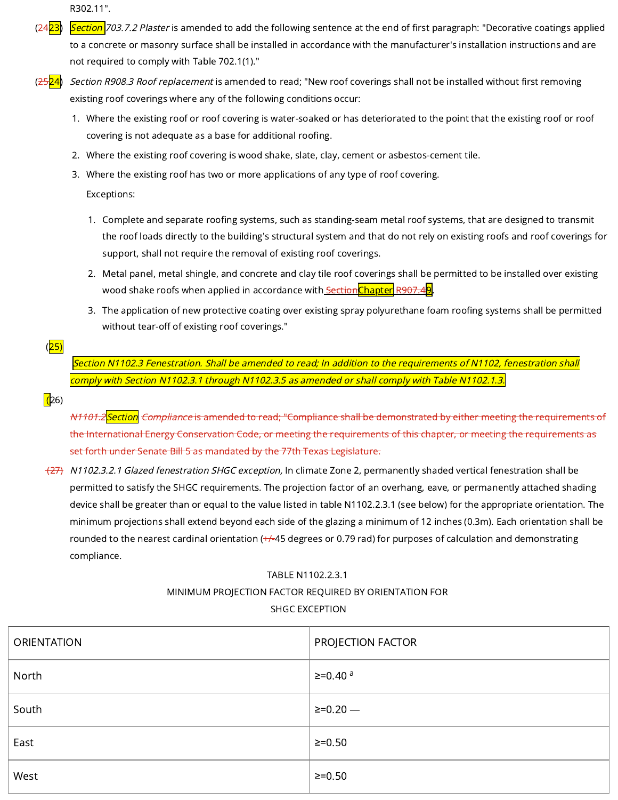R302.11".

- (<del>24<mark>23</mark>)</del> Section 703.7.2 Plaster is amended to add the following sentence at the end of first paragraph: "Decorative coatings applied to a concrete or masonry surface shall be installed in accordance with the manufacturer's installation instructions and are not required to comply with Table 702.1(1)."
- $(25|24)$ Section R908.3 Roof replacement is amended to read; "New roof coverings shall not be installed without first removing existing roof coverings where any of the following conditions occur:
	- 1. Where the existing roof or roof covering is water-soaked or has deteriorated to the point that the existing roof or roof covering is not adequate as a base for additional roofing.
	- 2. Where the existing roof covering is wood shake, slate, clay, cement or asbestos-cement tile.
	- 3. Where the existing roof has two or more applications of any type of roof covering.

Exceptions:

- 1. Complete and separate roofing systems, such as standing-seam metal roof systems, that are designed to transmit the roof loads directly to the building's structural system and that do not rely on existing roofs and roof coverings for support, shall not require the removal of existing roof coverings.
- 2. Metal panel, metal shingle, and concrete and clay tile roof coverings shall be permitted to be installed over existing wood shake roofs when applied in accordance with Section Chapter R907.49.
- 3. The application of new protective coating over existing spray polyurethane foam roofing systems shall be permitted without tear-off of existing roof coverings."

 $(25)$ 

Section N1102.3 Fenestration. Shall be amended to read; In addition to the requirements of N1102, fenestration shall comply with Section N1102.3.1 through N1102.3.5 as amended or shall comply with Table N1102.1.3.

 $(26)$ 

N1101.2Section Compliance is amended to read; "Compliance shall be demonstrated by either meeting the requirements of the International Energy Conservation Code, or meeting the requirements of this chapter, or meeting the requirements as set forth under Senate Bill 5 as mandated by the 77th Texas Legislature.

<del>(27)</del> *N1102.3.2.1 Glazed fenestration SHGC exception,* In climate Zone 2, permanently shaded vertical fenestration shall be permitted to satisfy the SHGC requirements. The projection factor of an overhang, eave, or permanently attached shading device shall be greater than or equal to the value listed in table N1102.2.3.1 (see below) for the appropriate orientation. The minimum projections shall extend beyond each side of the glazing a minimum of 12 inches (0.3m). Each orientation shall be rounded to the nearest cardinal orientation (+/-45 degrees or 0.79 rad) for purposes of calculation and demonstrating compliance.

### TABLE N1102.2.3.1

## MINIMUM PROJECTION FACTOR REQUIRED BY ORIENTATION FOR SHGC EXCEPTION

| <b>ORIENTATION</b> | PROJECTION FACTOR |
|--------------------|-------------------|
| North              | $≥=0.40a$         |
| South              | $\geq 0.20 -$     |
| East               | $\geq = 0.50$     |
| West               | $\geq = 0.50$     |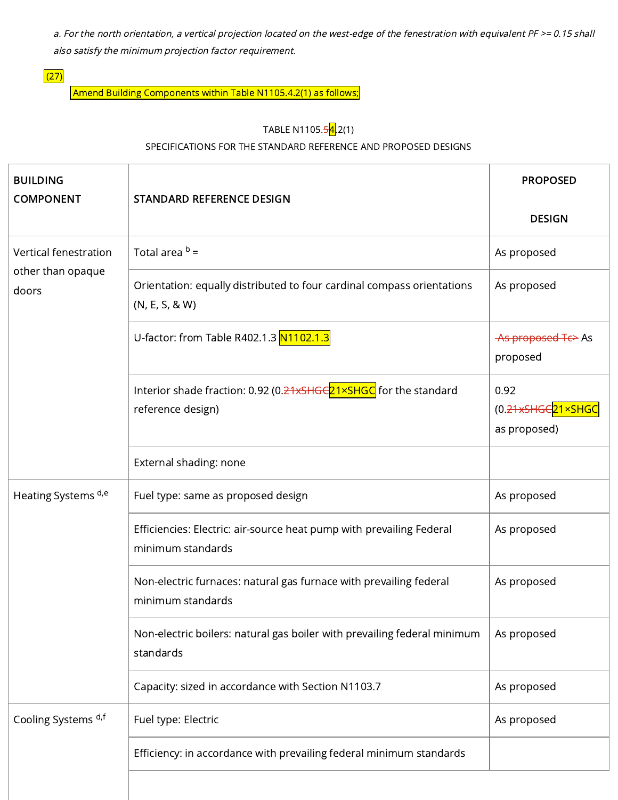a. For the north orientation, <sup>a</sup> vertical projection located on the west-edge of the fenestration with equivalent PF >= 0.15 shall also satisfy the minimum projection factor requirement.

 $(27)$ 

Amend Building Components within Table N1105.4.2(1) as follows;

# TABLE N1105.5<mark>4</mark>.2(1)

## SPECIFICATIONS FOR THE STANDARD REFERENCE AND PROPOSED DESIGNS

| <b>BUILDING</b><br><b>COMPONENT</b>                 | <b>STANDARD REFERENCE DESIGN</b>                                                          | <b>PROPOSED</b>                                                     |  |  |
|-----------------------------------------------------|-------------------------------------------------------------------------------------------|---------------------------------------------------------------------|--|--|
|                                                     |                                                                                           |                                                                     |  |  |
| Vertical fenestration<br>other than opaque<br>doors | Total area $b =$                                                                          | As proposed                                                         |  |  |
|                                                     | Orientation: equally distributed to four cardinal compass orientations<br>(N, E, S, & W)  | As proposed                                                         |  |  |
|                                                     | U-factor: from Table R402.1.3 N1102.1.3                                                   | As proposed Tc> As<br>proposed                                      |  |  |
|                                                     | Interior shade fraction: 0.92 (0.21xSHGC21xSHGC for the standard<br>reference design)     | 0.92<br>(0. <del>21xSHGC<mark>21×SHGC</mark>)</del><br>as proposed) |  |  |
|                                                     | External shading: none                                                                    |                                                                     |  |  |
| Heating Systems d,e                                 | Fuel type: same as proposed design                                                        | As proposed                                                         |  |  |
|                                                     | Efficiencies: Electric: air-source heat pump with prevailing Federal<br>minimum standards | As proposed                                                         |  |  |
|                                                     | Non-electric furnaces: natural gas furnace with prevailing federal<br>minimum standards   | As proposed                                                         |  |  |
|                                                     | Non-electric boilers: natural gas boiler with prevailing federal minimum<br>standards     | As proposed                                                         |  |  |
|                                                     | Capacity: sized in accordance with Section N1103.7                                        | As proposed                                                         |  |  |
| Cooling Systems d,f                                 | Fuel type: Electric                                                                       | As proposed                                                         |  |  |
|                                                     | Efficiency: in accordance with prevailing federal minimum standards                       |                                                                     |  |  |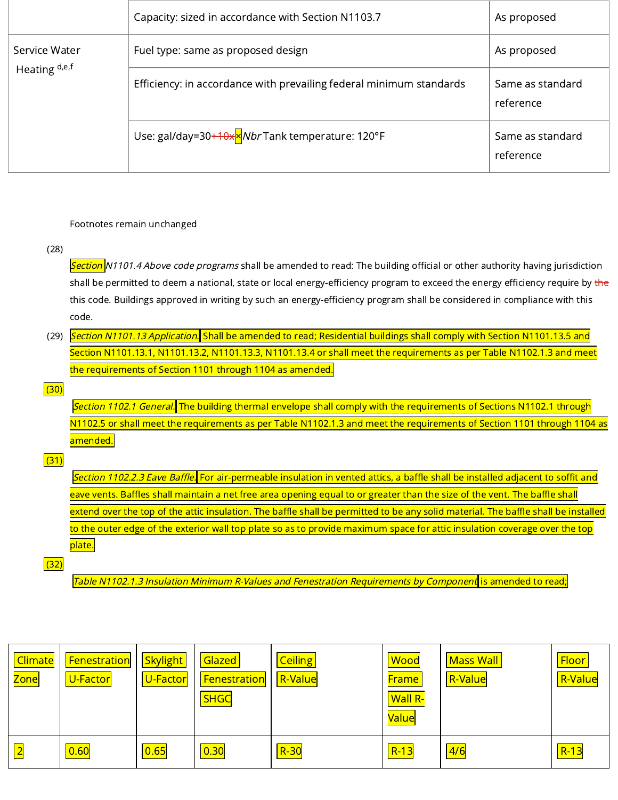|                                | Capacity: sized in accordance with Section N1103.7                  | As proposed                   |
|--------------------------------|---------------------------------------------------------------------|-------------------------------|
| Service Water<br>Heating d,e,f | Fuel type: same as proposed design                                  | As proposed                   |
|                                | Efficiency: in accordance with prevailing federal minimum standards | Same as standard<br>reference |
|                                | Use: gal/day=30+10x X Nbr Tank temperature: 120°F                   | Same as standard<br>reference |

## Footnotes remain unchanged

(28)

Section N1101.4 Above code programs shall be amended to read: The building official or other authority having jurisdiction shall be permitted to deem a national, state or local energy-efficiency program to exceed the energy efficiency require by the this code. Buildings approved in writing by such an energy-efficiency program shall be considered in compliance with this code.

(29) <mark>Section N1101.13 Application.</mark> Shall be amended to read; Residential buildings shall comply with Section N1101.13.5 and Section N1101.13.1, N1101.13.2, N1101.13.3, N1101.13.4 or shall meet the requirements as per Table N1102.1.3 and meet the requirements of Section 1101 through 1104 as amended.

 $(30)$ 

Section 1102.1 General. The building thermal envelope shall comply with the requirements of Sections N1102.1 through N1102.5 or shall meet the requirements as per Table N1102.1.3 and meet the requirements of Section 1101 through 1104 as amended.

 $(31)$ 

Section 1102.2.3 Eave Baffle. For air-permeable insulation in vented attics, a baffle shall be installed adjacent to soffit and eave vents. Baffles shall maintain a net free area opening equal to or greater than the size of the vent. The baffle shall extend over the top of the attic insulation. The baffle shall be permitted to be any solid material. The baffle shall be installed to the outer edge of the exterior wall top plate so as to provide maximum space for attic insulation coverage over the top plate.

 $(32)$ 

Table N1102.1.3 Insulation Minimum R-Values and Fenestration Requirements by Component is amended to read;

| <mark> Climate</mark><br><mark>Zone</mark> | <b>Fenestration</b><br>U-Factor | Skylight<br>U-Factor | Glazed<br><b>Fenestration</b><br><b>SHGC</b> | Ceiling<br>R-Value | Wood<br><b>Frame</b><br><b>Wall R-</b><br>Value | Mass Wall<br>R-Value | <b>Floor</b><br><b>R-Value</b> |
|--------------------------------------------|---------------------------------|----------------------|----------------------------------------------|--------------------|-------------------------------------------------|----------------------|--------------------------------|
| $\overline{\phantom{0}}$                   | $\vert 0.60 \vert$              | 0.65                 | 0.30                                         | $R - 30$           | $R-13$                                          | 4/6                  | $R-13$                         |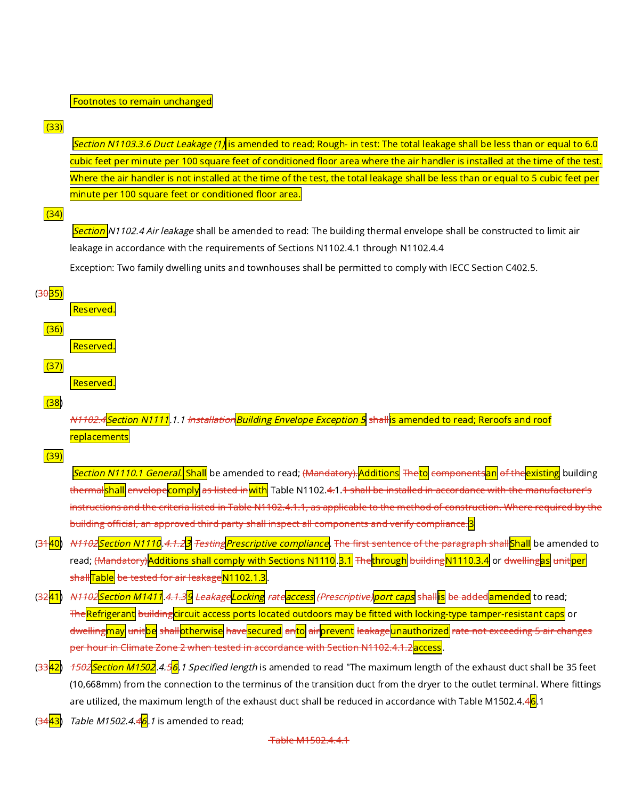#### Footnotes to remain unchanged

## $(33)$

Section N1103.3.6 Duct Leakage (1) is amended to read; Rough- in test: The total leakage shall be less than or equal to 6.0 cubic feet per minute per 100 square feet of conditioned floor area where the air handler is installed at the time of the test. Where the air handler is not installed at the time of the test, the total leakage shall be less than or equal to 5 cubic feet per minute per 100 square feet or conditioned floor area.

## $(34)$

Section N1102.4 Air leakage shall be amended to read: The building thermal envelope shall be constructed to limit air leakage in accordance with the requirements of Sections N1102.4.1 through N1102.4.4

Exception: Two family dwelling units and townhouses shall be permitted to comply with IECC Section C402.5.

- $(30\overline{35})$  $(36)$ Reserved.
	- $(37)$

Reserved.

Reserved.

 $\vert$ (38 $\vert$ 

N1102.4<mark>Section N1111</mark>.1.1 <del>Installation</del>Building Envelope Exception 5 shall is amended to read; Reroofs and roof **replacements** 

 $(39)$ 

Section N1110.1 General. Shall be amended to read; <del>(Mandatory). Additions The<mark>to</mark> componentsan of the</del>existing building thermal<mark>shall</mark> envelope<mark>comply</mark> a<del>s listed in<mark>with</mark> Table N1102.4.1.1 shall be installed in accordance with the manufacturer's</del> instructions and the criteria listed in Table N1102.4.1.1, as applicable to the method of construction. Where required by the building official, an approved third party shall inspect all components and verify compliance. 3

- (<del>31<mark>40</mark>) *N1102<mark>Section N1110</mark>.4.1.2<mark>3</mark> TestingPrescriptive compliance*. <del>The first sentence of the paragraph shall</del>Shall be amended to</del> read; <del>(Mandatory)<mark>Additions shall comply with Sections N1110</mark>.3.1 The<mark>through</mark> b<del>uilding</del>N1110.3.4 or <del>dwelling<mark>as</mark> unit<mark>per</mark></del></del> shall<mark>Table</mark> be tested for air leakage<mark>N1102.1.3</mark>
- (<del>32<mark>41</mark>) N1102<mark>Section M1411</mark>.4.1.3<mark>9</mark> Leakage<mark>Locking</mark> rate<mark>access</mark> <del>(Prescriptive)port caps</mark> shall<mark>is</mark> be added<mark>amended</mark> to read;</del></del> The<mark>Refrigerant</mark> b<del>uilding<mark>circuit access ports located outdoors may be fitted with locking-type tamper-resistant caps</mark> or</del> dwelling<mark>may</mark> unit<mark>be</mark> shall<mark>otherwise</mark> have<mark>secured</mark> an<mark>to</mark> air<mark>prevent</mark> leakage<mark>unauthorized</mark> rate not exceeding 5 air changes per hour in Climate Zone 2 when tested in accordance with Section N1102.4.1.2access
- (<del>33<mark>42</mark>) *1502<mark>Section M1502</mark>.4.5<mark>6</mark>.1 Specified length* is amended to read "The maximum length of the exhaust duct shall be 35 feet</mark></del> (10,668mm) from the connection to the terminus of the transition duct from the dryer to the outlet terminal. Where fittings are utilized, the maximum length of the exhaust duct shall be reduced in accordance with Table M1502.4.46.1
- (<del>34<mark>43</mark>)</del> Table M1502.4. $\frac{4}{6}$ .1 is amended to read;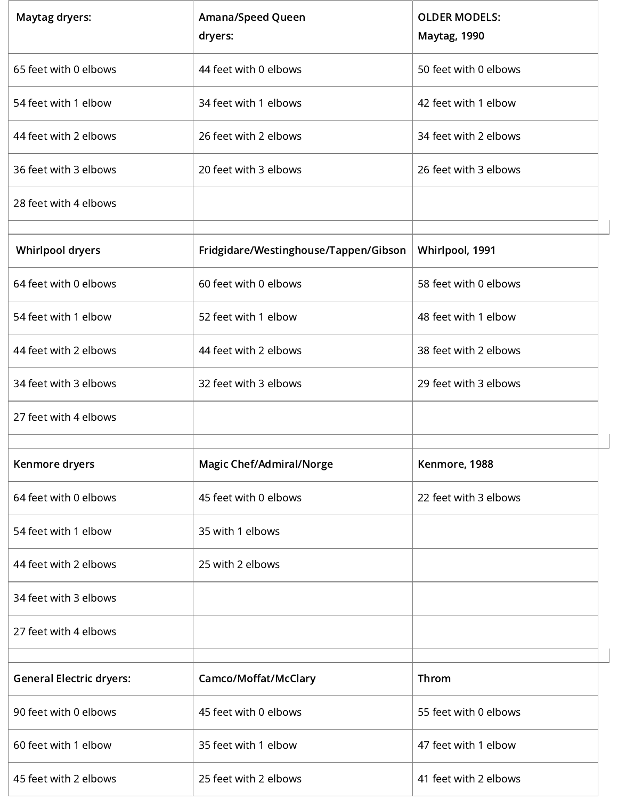| <b>Maytag dryers:</b>           | <b>Amana/Speed Queen</b><br>dryers:   | <b>OLDER MODELS:</b><br>Maytag, 1990 |  |
|---------------------------------|---------------------------------------|--------------------------------------|--|
| 65 feet with 0 elbows           | 44 feet with 0 elbows                 | 50 feet with 0 elbows                |  |
| 54 feet with 1 elbow            | 34 feet with 1 elbows                 | 42 feet with 1 elbow                 |  |
| 44 feet with 2 elbows           | 26 feet with 2 elbows                 | 34 feet with 2 elbows                |  |
| 36 feet with 3 elbows           | 20 feet with 3 elbows                 | 26 feet with 3 elbows                |  |
| 28 feet with 4 elbows           |                                       |                                      |  |
| Whirlpool dryers                | Fridgidare/Westinghouse/Tappen/Gibson | Whirlpool, 1991                      |  |
| 64 feet with 0 elbows           | 60 feet with 0 elbows                 | 58 feet with 0 elbows                |  |
| 54 feet with 1 elbow            | 52 feet with 1 elbow                  | 48 feet with 1 elbow                 |  |
| 44 feet with 2 elbows           | 44 feet with 2 elbows                 | 38 feet with 2 elbows                |  |
| 34 feet with 3 elbows           | 32 feet with 3 elbows                 | 29 feet with 3 elbows                |  |
| 27 feet with 4 elbows           |                                       |                                      |  |
| Kenmore dryers                  | <b>Magic Chef/Admiral/Norge</b>       | Kenmore, 1988                        |  |
| 64 feet with 0 elbows           | 45 feet with 0 elbows                 | 22 feet with 3 elbows                |  |
| 54 feet with 1 elbow            | 35 with 1 elbows                      |                                      |  |
| 44 feet with 2 elbows           | 25 with 2 elbows                      |                                      |  |
| 34 feet with 3 elbows           |                                       |                                      |  |
| 27 feet with 4 elbows           |                                       |                                      |  |
| <b>General Electric dryers:</b> | Camco/Moffat/McClary                  | Throm                                |  |
| 90 feet with 0 elbows           | 45 feet with 0 elbows                 | 55 feet with 0 elbows                |  |
| 60 feet with 1 elbow            | 35 feet with 1 elbow                  | 47 feet with 1 elbow                 |  |
| 45 feet with 2 elbows           | 25 feet with 2 elbows                 | 41 feet with 2 elbows                |  |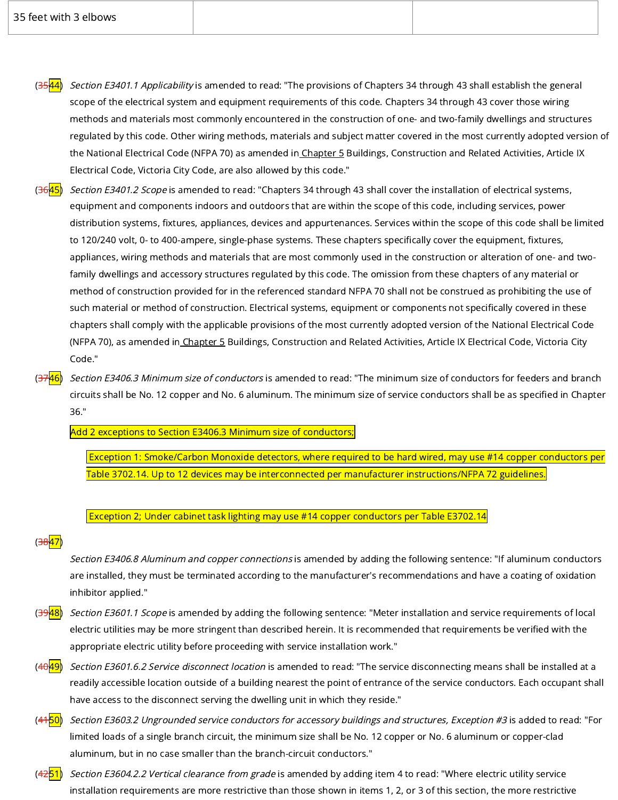- (<del>35<mark>44</mark>) *Section E3401.1 Applicability* is amended to read: "The provisions of Chapters 34 through 43 shall establish the general</del> scope of the electrical system and equipment requirements of this code. Chapters 34 through 43 cover those wiring methods and materials most commonly encountered in the construction of one- and two-family dwellings and structures regulated by this code. Other wiring methods, materials and subject matter covered in the most currently adopted version of the National Electrical Code (NFPA 70) as amended in [Chapter](https://library.municode.com/) 5 Buildings, Construction and Related Activities, Article IX Electrical Code, Victoria City Code, are also allowed by this code."
- (<del>36<mark>45</mark>)</del> Section E3401.2 Scope is amended to read: "Chapters 34 through 43 shall cover the installation of electrical systems, equipment and components indoors and outdoors that are within the scope of this code, including services, power distribution systems, fixtures, appliances, devices and appurtenances. Services within the scope of this code shall be limited to 120/240 volt, 0- to 400-ampere, single-phase systems. These chapters specifically cover the equipment, fixtures, appliances, wiring methods and materials that are most commonly used in the construction or alteration of one- and twofamily dwellings and accessory structures regulated by this code. The omission from these chapters of any material or method of construction provided for in the referenced standard NFPA 70 shall not be construed as prohibiting the use of such material or method of construction. Electrical systems, equipment or components not specifically covered in these chapters shall comply with the applicable provisions of the most currently adopted version of the National Electrical Code (NFPA 70), as amended in [Chapter](https://library.municode.com/) 5 Buildings, Construction and Related Activities, Article IX Electrical Code, Victoria City Code."
- (<del>37</del>46) Section E3406.3 Minimum size of conductors is amended to read: "The minimum size of conductors for feeders and branch circuits shall be No. 12 copper and No. 6 aluminum. The minimum size of service conductors shall be as specified in Chapter 36."

Add 2 exceptions to Section E3406.3 Minimum size of conductors;

Exception 1: Smoke/Carbon Monoxide detectors, where required to be hard wired, may use #14 copper conductors per Table 3702.14. Up to 12 devices may be interconnected per manufacturer instructions/NFPA 72 guidelines.

Exception 2; Under cabinet task lighting may use #14 copper conductors per Table E3702.14

## $(3847)$

Section E3406.8 Aluminum and copper connections is amended by adding the following sentence: "If aluminum conductors are installed, they must be terminated according to the manufacturer's recommendations and have a coating of oxidation inhibitor applied."

 $(3948)$ 

Section E3601.1 Scope is amended by adding the following sentence: "Meter installation and service requirements of local electric utilities may be more stringent than described herein. It is recommended that requirements be verified with the appropriate electric utility before proceeding with service installation work."

(<del>40<mark>49</mark>)</del> *Section E3601.6.2 Service disconnect location* is amended to read: "The service disconnecting means shall be installed at a readily accessible location outside of a building nearest the point of entrance of the service conductors. Each occupant shall have access to the disconnect serving the dwelling unit in which they reside."

- (<del>41<mark>50</mark>)</del> *Section E3603.2 Ungrounded service conductors for accessory buildings and structures, Exception #3* is added to read: "For limited loads of a single branch circuit, the minimum size shall be No. 12 copper or No. 6 aluminum or copper-clad aluminum, but in no case smaller than the branch-circuit conductors."
- $(4251)$ Section E3604.2.2 Vertical clearance from grade is amended by adding item 4 to read: "Where electric utility service installation requirements are more restrictive than those shown in items 1, 2, or 3 of this section, the more restrictive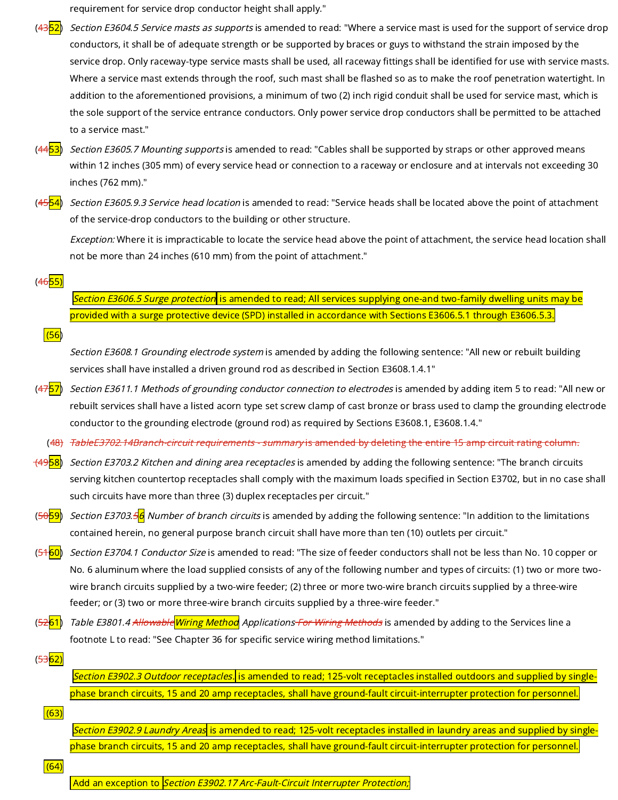requirement for service drop conductor height shall apply."

- $(4352)$ Section E3604.5 Service masts as supports is amended to read: "Where a service mast is used for the support of service drop conductors, it shall be of adequate strength or be supported by braces or guys to withstand the strain imposed by the service drop. Only raceway-type service masts shall be used, all raceway fittings shall be identified for use with service masts. Where a service mast extends through the roof, such mast shall be flashed so as to make the roof penetration watertight. In addition to the aforementioned provisions, a minimum of two (2) inch rigid conduit shall be used for service mast, which is the sole support of the service entrance conductors. Only power service drop conductors shall be permitted to be attached
- $(4453)$

to a service mast."

Section E3605.7 Mounting supports is amended to read: "Cables shall be supported by straps or other approved means within 12 inches (305 mm) of every service head or connection to a raceway or enclosure and at intervals not exceeding 30 inches (762 mm)."

(<del>45<mark>54</mark>)</del>

Section E3605.9.3 Service head location is amended to read: "Service heads shall be located above the point of attachment of the service-drop conductors to the building or other structure.

Exception: Where it is impracticable to locate the service head above the point of attachment, the service head location shall not be more than 24 inches (610 mm) from the point of attachment."

 $(4655)$ 

Section E3606.5 Surge protection is amended to read; All services supplying one-and two-family dwelling units may be provided with a surge protective device (SPD) installed in accordance with Sections E3606.5.1 through E3606.5.3.

 $(56)$ 

Section E3608.1 Grounding electrode system is amended by adding the following sentence: "All new or rebuilt building services shall have installed a driven ground rod as described in Section E3608.1.4.1"

(<del>47<mark>57</mark>)</del> *Section E3611.1 Methods of grounding conductor connection to electrodes* is amended by adding item 5 to read: "All new or rebuilt services shall have a listed acorn type set screw clamp of cast bronze or brass used to clamp the grounding electrode conductor to the grounding electrode (ground rod) as required by Sections E3608.1, E3608.1.4."

(<del>48) *TableE3702.14Branch-circuit requirements - summary* is amended by deleting the entire 15 amp circuit rating column.</del>

- <del>(49<mark>58</mark>)</del> Section E3703.2 Kitchen and dining area receptacles is amended by adding the following sentence: "The branch circuits serving kitchen countertop receptacles shall comply with the maximum loads specified in Section E3702, but in no case shall such circuits have more than three (3) duplex receptacles per circuit."
- (<del>50</del>59) Section E3703.56 Number of branch circuits is amended by adding the following sentence: "In addition to the limitations contained herein, no general purpose branch circuit shall have more than ten (10) outlets per circuit."
- (<del>51<mark>60</mark>)</del> Section E3704.1 Conductor Size is amended to read: "The size of feeder conductors shall not be less than No. 10 copper or No. 6 aluminum where the load supplied consists of any of the following number and types of circuits: (1) two or more twowire branch circuits supplied by a two-wire feeder; (2) three or more two-wire branch circuits supplied by a three-wire feeder; or (3) two or more three-wire branch circuits supplied by a three-wire feeder."
- $(5261)$ Table E3801.4 Allowable Wiring Method Applications For Wiring Methods is amended by adding to the Services line a footnote L to read: "See Chapter 36 for specific service wiring method limitations."

Section E3902.3 Outdoor receptacles. is amended to read; 125-volt receptacles installed outdoors and supplied by singlephase branch circuits, 15 and 20 amp receptacles, shall have ground-fault circuit-interrupter protection for personnel.

 $(63)$ 

(<del>53<mark>62)</mark></del>

Section E3902.9 Laundry Areas is amended to read; 125-volt receptacles installed in laundry areas and supplied by singlephase branch circuits, 15 and 20 amp receptacles, shall have ground-fault circuit-interrupter protection for personnel.

 $(64)$ 

Add an exception to Section E3902.17 Arc-Fault-Circuit Interrupter Protection;